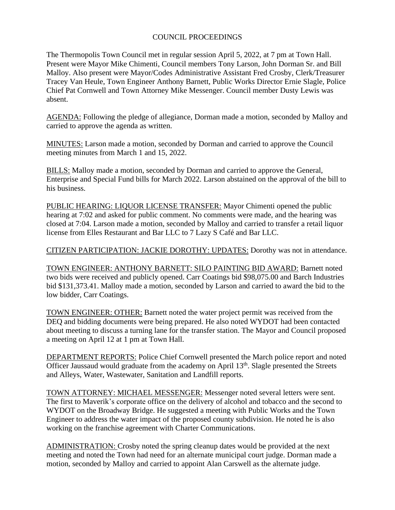## COUNCIL PROCEEDINGS

The Thermopolis Town Council met in regular session April 5, 2022, at 7 pm at Town Hall. Present were Mayor Mike Chimenti, Council members Tony Larson, John Dorman Sr. and Bill Malloy. Also present were Mayor/Codes Administrative Assistant Fred Crosby, Clerk/Treasurer Tracey Van Heule, Town Engineer Anthony Barnett, Public Works Director Ernie Slagle, Police Chief Pat Cornwell and Town Attorney Mike Messenger. Council member Dusty Lewis was absent.

AGENDA: Following the pledge of allegiance, Dorman made a motion, seconded by Malloy and carried to approve the agenda as written.

MINUTES: Larson made a motion, seconded by Dorman and carried to approve the Council meeting minutes from March 1 and 15, 2022.

BILLS: Malloy made a motion, seconded by Dorman and carried to approve the General, Enterprise and Special Fund bills for March 2022. Larson abstained on the approval of the bill to his business.

PUBLIC HEARING: LIQUOR LICENSE TRANSFER: Mayor Chimenti opened the public hearing at 7:02 and asked for public comment. No comments were made, and the hearing was closed at 7:04. Larson made a motion, seconded by Malloy and carried to transfer a retail liquor license from Elles Restaurant and Bar LLC to 7 Lazy S Café and Bar LLC.

CITIZEN PARTICIPATION: JACKIE DOROTHY: UPDATES: Dorothy was not in attendance.

TOWN ENGINEER: ANTHONY BARNETT: SILO PAINTING BID AWARD: Barnett noted two bids were received and publicly opened. Carr Coatings bid \$98,075.00 and Barch Industries bid \$131,373.41. Malloy made a motion, seconded by Larson and carried to award the bid to the low bidder, Carr Coatings.

TOWN ENGINEER: OTHER: Barnett noted the water project permit was received from the DEQ and bidding documents were being prepared. He also noted WYDOT had been contacted about meeting to discuss a turning lane for the transfer station. The Mayor and Council proposed a meeting on April 12 at 1 pm at Town Hall.

DEPARTMENT REPORTS: Police Chief Cornwell presented the March police report and noted Officer Jaussaud would graduate from the academy on April 13<sup>th</sup>. Slagle presented the Streets and Alleys, Water, Wastewater, Sanitation and Landfill reports.

TOWN ATTORNEY: MICHAEL MESSENGER: Messenger noted several letters were sent. The first to Maverik's corporate office on the delivery of alcohol and tobacco and the second to WYDOT on the Broadway Bridge. He suggested a meeting with Public Works and the Town Engineer to address the water impact of the proposed county subdivision. He noted he is also working on the franchise agreement with Charter Communications.

ADMINISTRATION: Crosby noted the spring cleanup dates would be provided at the next meeting and noted the Town had need for an alternate municipal court judge. Dorman made a motion, seconded by Malloy and carried to appoint Alan Carswell as the alternate judge.